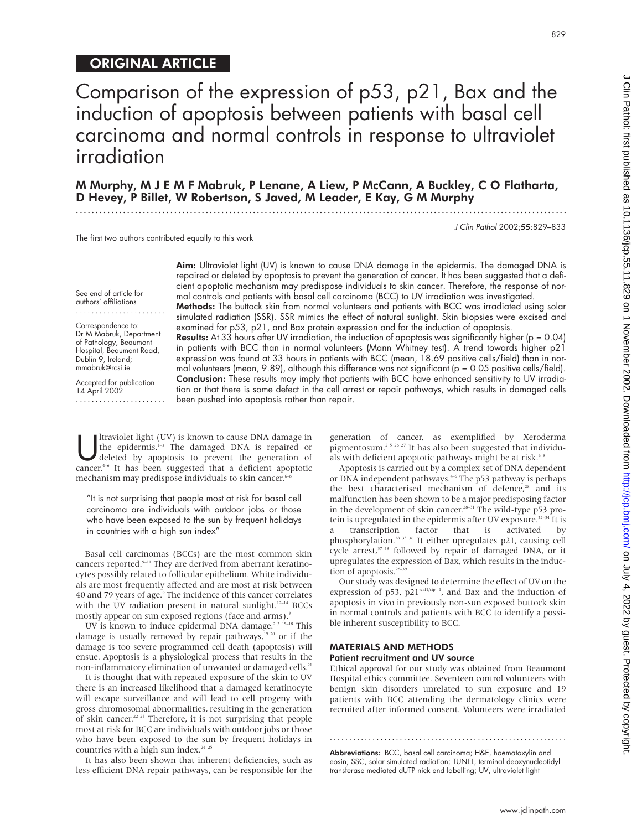# ORIGINAL ARTICLE

Comparison of the expression of p53, p21, Bax and the induction of apoptosis between patients with basal cell carcinoma and normal controls in response to ultraviolet irradiation

M Murphy,MJEMF Mabruk, P Lenane, A Liew, P McCann, A Buckley, C O Flatharta, D Hevey, P Billet, W Robertson, S Javed, M Leader, E Kay, G M Murphy

.............................................................................................................................

Aim: Ultraviolet light (UV) is known to cause DNA damage in the epidermis. The damaged DNA is

J Clin Pathol 2002;55:829–833

The first two authors contributed equally to this work

repaired or deleted by apoptosis to prevent the generation of cancer. It has been suggested that a deficient apoptotic mechanism may predispose individuals to skin cancer. Therefore, the response of normal controls and patients with basal cell carcinoma (BCC) to UV irradiation was investigated. Methods: The buttock skin from normal volunteers and patients with BCC was irradiated using solar simulated radiation (SSR). SSR mimics the effect of natural sunlight. Skin biopsies were excised and examined for p53, p21, and Bax protein expression and for the induction of apoptosis. **Results:** At 33 hours after UV irradiation, the induction of apoptosis was significantly higher ( $p = 0.04$ ) in patients with BCC than in normal volunteers (Mann Whitney test). A trend towards higher p21 expression was found at 33 hours in patients with BCC (mean, 18.69 positive cells/field) than in normal volunteers (mean, 9.89), although this difference was not significant (p = 0.05 positive cells/field). Conclusion: These results may imply that patients with BCC have enhanced sensitivity to UV irradiation or that there is some defect in the cell arrest or repair pathways, which results in damaged cells

been pushed into apoptosis rather than repair.

See end of article for authors' affiliations

Correspondence to: Dr M Mabruk, Department of Pathology, Beaumont Hospital, Beaumont Road, Dublin 9, Ireland; mmabruk@rcsi.ie

Accepted for publication 14 April 2002 .......................

It raviolet light (UV) is known to cause DNA damage in<br>the epidermis.<sup>1-3</sup> The damaged DNA is repaired or<br>deleted by apoptosis to prevent the generation of<br>cancer<sup>4-6</sup> It has been suggested that a deficient apoptotic the epidermis.<sup>1-3</sup> The damaged DNA is repaired or deleted by apoptosis to prevent the generation of cancer.<sup>4-6</sup> It has been suggested that a deficient apoptotic mechanism may predispose individuals to skin cancer.<sup>6-1</sup>

"It is not surprising that people most at risk for basal cell carcinoma are individuals with outdoor jobs or those who have been exposed to the sun by frequent holidays in countries with a high sun index"

Basal cell carcinomas (BCCs) are the most common skin cancers reported.<sup>9-11</sup> They are derived from aberrant keratinocytes possibly related to follicular epithelium. White individuals are most frequently affected and are most at risk between 40 and 79 years of age.<sup>9</sup> The incidence of this cancer correlates with the UV radiation present in natural sunlight.<sup>12-14</sup> BCCs mostly appear on sun exposed regions (face and arms).<sup>9</sup>

UV is known to induce epidermal DNA damage.<sup>2 3 15–18</sup> This damage is usually removed by repair pathways, $1920$  or if the damage is too severe programmed cell death (apoptosis) will ensue. Apoptosis is a physiological process that results in the non-inflammatory elimination of unwanted or damaged cells.<sup>21</sup>

It is thought that with repeated exposure of the skin to UV there is an increased likelihood that a damaged keratinocyte will escape surveillance and will lead to cell progeny with gross chromosomal abnormalities, resulting in the generation of skin cancer.22 23 Therefore, it is not surprising that people most at risk for BCC are individuals with outdoor jobs or those who have been exposed to the sun by frequent holidays in countries with a high sun index.<sup>24</sup> <sup>2</sup>

It has also been shown that inherent deficiencies, such as less efficient DNA repair pathways, can be responsible for the

generation of cancer, as exemplified by Xeroderma pigmentosum.<sup>2 5 26</sup> <sup>27</sup> It has also been suggested that individuals with deficient apoptotic pathways might be at risk.<sup>68</sup>

Apoptosis is carried out by a complex set of DNA dependent or DNA independent pathways.<sup>46</sup> The p53 pathway is perhaps the best characterised mechanism of defence,<sup>28</sup> and its malfunction has been shown to be a major predisposing factor in the development of skin cancer.<sup>28-31</sup> The wild-type p53 protein is upregulated in the epidermis after UV exposure.<sup>32-34</sup> It is a transcription factor that is activated by phosphorylation.28 35 36 It either upregulates p21, causing cell cycle arrest,<sup>37 38</sup> followed by repair of damaged DNA, or it upregulates the expression of Bax, which results in the induction of apoptosis.<sup>28</sup>

Our study was designed to determine the effect of UV on the expression of p53, p21<sup>waf1/cip 1</sup>, and Bax and the induction of apoptosis in vivo in previously non-sun exposed buttock skin in normal controls and patients with BCC to identify a possible inherent susceptibility to BCC.

# MATERIALS AND METHODS Patient recruitment and UV source

Ethical approval for our study was obtained from Beaumont Hospital ethics committee. Seventeen control volunteers with benign skin disorders unrelated to sun exposure and 19 patients with BCC attending the dermatology clinics were recruited after informed consent. Volunteers were irradiated

Abbreviations: BCC, basal cell carcinoma; H&E, haematoxylin and eosin; SSC, solar simulated radiation; TUNEL, terminal deoxynucleotidyl transferase mediated dUTP nick end labelling; UV, ultraviolet light

.............................................................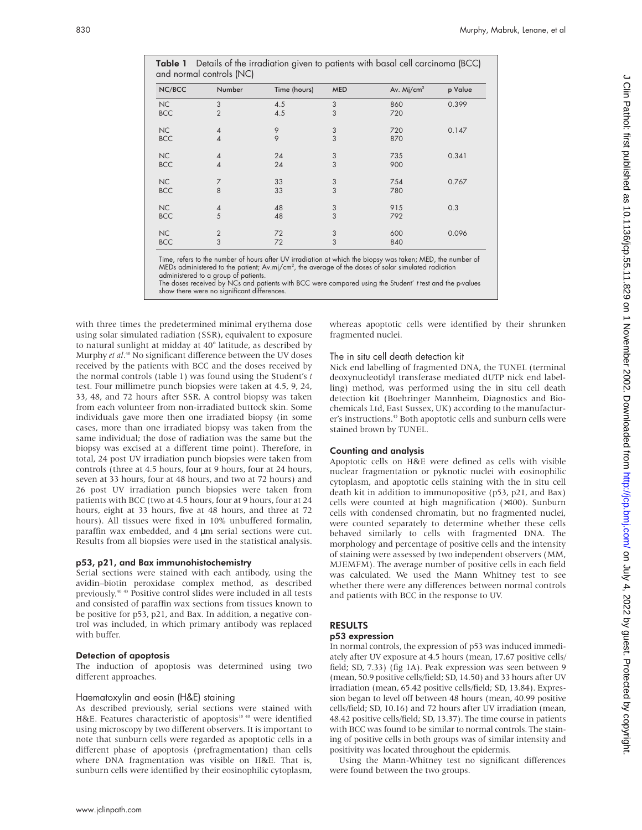| and normal controls (NC) |                |              |            |                        |         |
|--------------------------|----------------|--------------|------------|------------------------|---------|
| NC/BCC                   | Number         | Time (hours) | <b>MED</b> | Av. Mj/cm <sup>2</sup> | p Value |
| NC                       | 3              | 4.5          | 3          | 860                    | 0.399   |
| <b>BCC</b>               | $\overline{2}$ | 4.5          | 3          | 720                    |         |
| NC                       | 4              | 9            | $\sqrt{3}$ | 720                    | 0.147   |
| <b>BCC</b>               | $\overline{4}$ | 9            | 3          | 870                    |         |
| NC                       | 4              | 24           | 3          | 735                    | 0.341   |
| <b>BCC</b>               | $\overline{4}$ | 24           | 3          | 900                    |         |
| NC                       | 7              | 33           | 3          | 754                    | 0.767   |
| <b>BCC</b>               | 8              | 33           | 3          | 780                    |         |
| NC                       | 4              | 48           | 3          | 915                    | 0.3     |
| <b>BCC</b>               | 5              | 48           | 3          | 792                    |         |
| NC                       | $\overline{2}$ | 72           | 3          | 600                    | 0.096   |
| <b>BCC</b>               | 3              | 72           | 3          | 840                    |         |

Table 1 Details of the irradiation given to patients with basal cell carcinoma (BCC)

Time, refers to the number of hours after UV irradiation at which the biopsy was taken; MED, the number of MEDs administered to the patient;  $\mathsf{Av}.\mathsf{m}\mathsf{j/cm^2},$  the average of the doses of solar simulated radiation administered to a group of patients.

The doses received by NCs and patients with BCC were compared using the Student' <sup>t</sup> test and the p-values show there were no significant differences.

with three times the predetermined minimal erythema dose using solar simulated radiation (SSR), equivalent to exposure to natural sunlight at midday at 40° latitude, as described by Murphy *et al*. <sup>40</sup> No significant difference between the UV doses received by the patients with BCC and the doses received by the normal controls (table 1) was found using the Student's *t* test. Four millimetre punch biopsies were taken at 4.5, 9, 24, 33, 48, and 72 hours after SSR. A control biopsy was taken from each volunteer from non-irradiated buttock skin. Some individuals gave more then one irradiated biopsy (in some cases, more than one irradiated biopsy was taken from the same individual; the dose of radiation was the same but the biopsy was excised at a different time point). Therefore, in total, 24 post UV irradiation punch biopsies were taken from controls (three at 4.5 hours, four at 9 hours, four at 24 hours, seven at 33 hours, four at 48 hours, and two at 72 hours) and 26 post UV irradiation punch biopsies were taken from patients with BCC (two at 4.5 hours, four at 9 hours, four at 24 hours, eight at 33 hours, five at 48 hours, and three at 72 hours). All tissues were fixed in 10% unbuffered formalin, paraffin wax embedded, and 4 µm serial sections were cut. Results from all biopsies were used in the statistical analysis.

#### p53, p21, and Bax immunohistochemistry

Serial sections were stained with each antibody, using the avidin–biotin peroxidase complex method, as described previously.40 43 Positive control slides were included in all tests and consisted of paraffin wax sections from tissues known to be positive for p53, p21, and Bax. In addition, a negative control was included, in which primary antibody was replaced with buffer.

# Detection of apoptosis

The induction of apoptosis was determined using two different approaches.

# Haematoxylin and eosin (H&E) staining

As described previously, serial sections were stained with H&E. Features characteristic of apoptosis<sup>18 40</sup> were identified using microscopy by two different observers. It is important to note that sunburn cells were regarded as apoptotic cells in a different phase of apoptosis (prefragmentation) than cells where DNA fragmentation was visible on H&E. That is, sunburn cells were identified by their eosinophilic cytoplasm,

whereas apoptotic cells were identified by their shrunken fragmented nuclei.

### The in situ cell death detection kit

Nick end labelling of fragmented DNA, the TUNEL (terminal deoxynucleotidyl transferase mediated dUTP nick end labelling) method, was performed using the in situ cell death detection kit (Boehringer Mannheim, Diagnostics and Biochemicals Ltd, East Sussex, UK) according to the manufacturer's instructions.<sup>45</sup> Both apoptotic cells and sunburn cells were stained brown by TUNEL.

# Counting and analysis

Apoptotic cells on H&E were defined as cells with visible nuclear fragmentation or pyknotic nuclei with eosinophilic cytoplasm, and apoptotic cells staining with the in situ cell death kit in addition to immunopositive (p53, p21, and Bax) cells were counted at high magnification (×400). Sunburn cells with condensed chromatin, but no fragmented nuclei, were counted separately to determine whether these cells behaved similarly to cells with fragmented DNA. The morphology and percentage of positive cells and the intensity of staining were assessed by two independent observers (MM, MJEMFM). The average number of positive cells in each field was calculated. We used the Mann Whitney test to see whether there were any differences between normal controls and patients with BCC in the response to UV.

# RESULTS

#### p53 expression

In normal controls, the expression of p53 was induced immediately after UV exposure at 4.5 hours (mean, 17.67 positive cells/ field; SD, 7.33) (fig 1A). Peak expression was seen between 9 (mean, 50.9 positive cells/field; SD, 14.50) and 33 hours after UV irradiation (mean, 65.42 positive cells/field; SD, 13.84). Expression began to level off between 48 hours (mean, 40.99 positive cells/field; SD, 10.16) and 72 hours after UV irradiation (mean, 48.42 positive cells/field; SD, 13.37). The time course in patients with BCC was found to be similar to normal controls. The staining of positive cells in both groups was of similar intensity and positivity was located throughout the epidermis.

Using the Mann-Whitney test no significant differences were found between the two groups.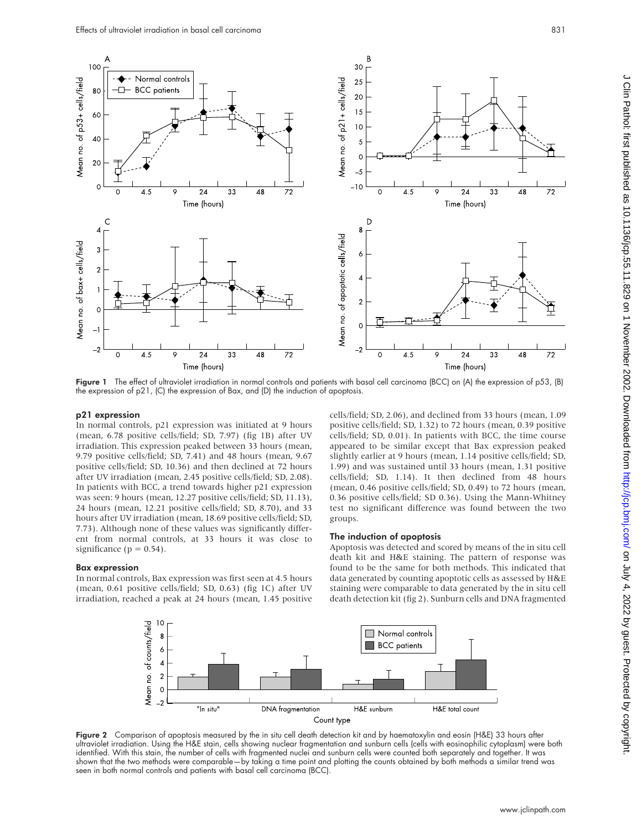

Figure 1 The effect of ultraviolet irradiation in normal controls and patients with basal cell carcinoma (BCC) on (A) the expression of p53, (B) the expression of p21, (C) the expression of Bax, and (D) the induction of apoptosis.

#### p21 expression

In normal controls, p21 expression was initiated at 9 hours (mean, 6.78 positive cells/field; SD, 7.97) (fig 1B) after UV irradiation. This expression peaked between 33 hours (mean, 9.79 positive cells/field; SD, 7.41) and 48 hours (mean, 9.67 positive cells/field; SD, 10.36) and then declined at 72 hours after UV irradiation (mean, 2.45 positive cells/field; SD, 2.08). In patients with BCC, a trend towards higher p21 expression was seen: 9 hours (mean, 12.27 positive cells/field; SD, 11.13), 24 hours (mean, 12.21 positive cells/field; SD, 8.70), and 33 hours after UV irradiation (mean, 18.69 positive cells/field; SD, 7.73). Although none of these values was significantly different from normal controls, at 33 hours it was close to significance ( $p = 0.54$ ).

#### cells/field; SD, 2.06), and declined from 33 hours (mean, 1.09 positive cells/field; SD, 1.32) to 72 hours (mean, 0.39 positive cells/field; SD, 0.01). In patients with BCC, the time course appeared to be similar except that Bax expression peaked slightly earlier at 9 hours (mean, 1.14 positive cells/field; SD, 1.99) and was sustained until 33 hours (mean, 1.31 positive cells/field; SD, 1.14). It then declined from 48 hours (mean, 0.46 positive cells/field; SD, 0.49) to 72 hours (mean, 0.36 positive cells/field; SD 0.36). Using the Mann-Whitney test no significant difference was found between the two groups.

#### Bax expression

In normal controls, Bax expression was first seen at 4.5 hours (mean, 0.61 positive cells/field; SD, 0.63) (fig 1C) after UV irradiation, reached a peak at 24 hours (mean, 1.45 positive

# The induction of apoptosis

Apoptosis was detected and scored by means of the in situ cell death kit and H&E staining. The pattern of response was found to be the same for both methods. This indicated that data generated by counting apoptotic cells as assessed by H&E staining were comparable to data generated by the in situ cell death detection kit (fig 2). Sunburn cells and DNA fragmented



Figure 2 Comparison of apoptosis measured by the in situ cell death detection kit and by haematoxylin and eosin (H&E) 33 hours after ultraviolet irradiation. Using the H&E stain, cells showing nuclear fragmentation and sunburn cells (cells with eosinophilic cytoplasm) were both identified. With this stain, the number of cells with fragmented nuclei and sunburn cells were counted both separately and together. It was shown that the two methods were comparable—by taking a time point and plotting the counts obtained by both methods a similar trend was seen in both normal controls and patients with basal cell carcinoma (BCC).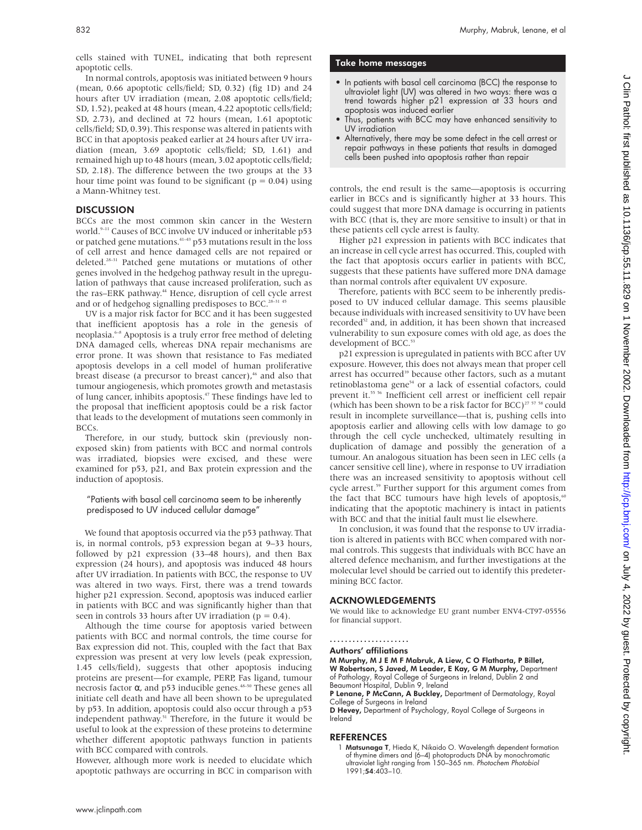cells stained with TUNEL, indicating that both represent apoptotic cells.

In normal controls, apoptosis was initiated between 9 hours (mean, 0.66 apoptotic cells/field; SD, 0.32) (fig 1D) and 24 hours after UV irradiation (mean, 2.08 apoptotic cells/field; SD, 1.52), peaked at 48 hours (mean, 4.22 apoptotic cells/field; SD, 2.73), and declined at 72 hours (mean, 1.61 apoptotic cells/field; SD, 0.39). This response was altered in patients with BCC in that apoptosis peaked earlier at 24 hours after UV irradiation (mean, 3.69 apoptotic cells/field; SD, 1.61) and remained high up to 48 hours (mean, 3.02 apoptotic cells/field; SD, 2.18). The difference between the two groups at the 33 hour time point was found to be significant ( $p = 0.04$ ) using a Mann-Whitney test.

# **DISCUSSION**

BCCs are the most common skin cancer in the Western world.<sup>9-11</sup> Causes of BCC involve UV induced or inheritable p53 or patched gene mutations.41–43 p53 mutations result in the loss of cell arrest and hence damaged cells are not repaired or deleted.28–31 Patched gene mutations or mutations of other genes involved in the hedgehog pathway result in the upregulation of pathways that cause increased proliferation, such as the ras–ERK pathway.<sup>44</sup> Hence, disruption of cell cycle arrest and or of hedgehog signalling predisposes to BCC.<sup>28-31 45</sup>

UV is a major risk factor for BCC and it has been suggested that inefficient apoptosis has a role in the genesis of neoplasia.6–8 Apoptosis is a truly error free method of deleting DNA damaged cells, whereas DNA repair mechanisms are error prone. It was shown that resistance to Fas mediated apoptosis develops in a cell model of human proliferative breast disease (a precursor to breast cancer),<sup>46</sup> and also that tumour angiogenesis, which promotes growth and metastasis of lung cancer, inhibits apoptosis.47 These findings have led to the proposal that inefficient apoptosis could be a risk factor that leads to the development of mutations seen commonly in BCCs.

Therefore, in our study, buttock skin (previously nonexposed skin) from patients with BCC and normal controls was irradiated, biopsies were excised, and these were examined for p53, p21, and Bax protein expression and the induction of apoptosis.

#### "Patients with basal cell carcinoma seem to be inherently predisposed to UV induced cellular damage"

We found that apoptosis occurred via the p53 pathway. That is, in normal controls, p53 expression began at 9–33 hours, followed by p21 expression (33–48 hours), and then Bax expression (24 hours), and apoptosis was induced 48 hours after UV irradiation. In patients with BCC, the response to UV was altered in two ways. First, there was a trend towards higher p21 expression. Second, apoptosis was induced earlier in patients with BCC and was significantly higher than that seen in controls 33 hours after UV irradiation ( $p = 0.4$ ).

Although the time course for apoptosis varied between patients with BCC and normal controls, the time course for Bax expression did not. This, coupled with the fact that Bax expression was present at very low levels (peak expression, 1.45 cells/field), suggests that other apoptosis inducing proteins are present—for example, PERP, Fas ligand, tumour necrosis factor α, and p53 inducible genes. $48-50$  These genes all initiate cell death and have all been shown to be upregulated by p53. In addition, apoptosis could also occur through a p53 independent pathway.<sup>51</sup> Therefore, in the future it would be useful to look at the expression of these proteins to determine whether different apoptotic pathways function in patients with BCC compared with controls.

However, although more work is needed to elucidate which apoptotic pathways are occurring in BCC in comparison with

#### Take home messages

- In patients with basal cell carcinoma (BCC) the response to ultraviolet light (UV) was altered in two ways: there was a trend towards higher p21 expression at 33 hours and apoptosis was induced earlier
- Thus, patients with BCC may have enhanced sensitivity to UV irradiation
- Alternatively, there may be some defect in the cell arrest or repair pathways in these patients that results in damaged cells been pushed into apoptosis rather than repair

controls, the end result is the same—apoptosis is occurring earlier in BCCs and is significantly higher at 33 hours. This could suggest that more DNA damage is occurring in patients with BCC (that is, they are more sensitive to insult) or that in these patients cell cycle arrest is faulty.

Higher p21 expression in patients with BCC indicates that an increase in cell cycle arrest has occurred. This, coupled with the fact that apoptosis occurs earlier in patients with BCC, suggests that these patients have suffered more DNA damage than normal controls after equivalent UV exposure.

Therefore, patients with BCC seem to be inherently predisposed to UV induced cellular damage. This seems plausible because individuals with increased sensitivity to UV have been recorded<sup>52</sup> and, in addition, it has been shown that increased vulnerability to sun exposure comes with old age, as does the development of BCC.<sup>53</sup>

p21 expression is upregulated in patients with BCC after UV exposure. However, this does not always mean that proper cell arrest has occurred<sup>39</sup> because other factors, such as a mutant retinoblastoma gene<sup>54</sup> or a lack of essential cofactors, could prevent it.55 56 Inefficient cell arrest or inefficient cell repair (which has been shown to be a risk factor for BCC)<sup>27 57 58</sup> could result in incomplete surveillance—that is, pushing cells into apoptosis earlier and allowing cells with low damage to go through the cell cycle unchecked, ultimately resulting in duplication of damage and possibly the generation of a tumour. An analogous situation has been seen in LEC cells (a cancer sensitive cell line), where in response to UV irradiation there was an increased sensitivity to apoptosis without cell cycle arrest.<sup>59</sup> Further support for this argument comes from the fact that BCC tumours have high levels of apoptosis, $60$ indicating that the apoptotic machinery is intact in patients with BCC and that the initial fault must lie elsewhere.

In conclusion, it was found that the response to UV irradiation is altered in patients with BCC when compared with normal controls. This suggests that individuals with BCC have an altered defence mechanism, and further investigations at the molecular level should be carried out to identify this predetermining BCC factor.

### ACKNOWLEDGEMENTS

We would like to acknowledge EU grant number ENV4-CT97-05556 for financial support.

#### .....................

Authors' affiliations

M Murphy, M J E M F Mabruk, A Liew, C O Flatharta, P Billet, W Robertson, S Javed, M Leader, E Kay, G M Murphy, Department of Pathology, Royal College of Surgeons in Ireland, Dublin 2 and Beaumont Hospital, Dublin 9, Ireland

P Lenane, P McCann, A Buckley, Department of Dermatology, Royal College of Surgeons in Ireland

D Hevey, Department of Psychology, Royal College of Surgeons in Ireland

#### **REFERENCES**

<sup>1</sup> Matsunaga T, Hieda K, Nikaido O. Wavelength dependent formation of thymine dimers and (6–4) photoproducts DNA by monochromatic ultraviolet light ranging from 150-365 nm. Photochem Photobiol 1991;54:403–10.